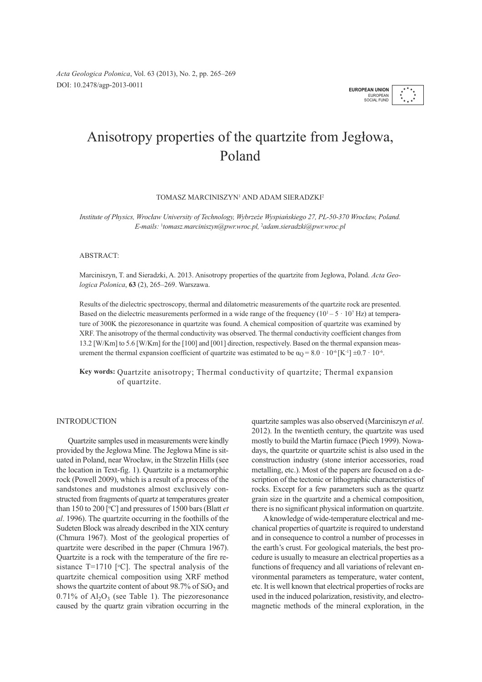*Acta Geologica Polonica*, Vol. 63 (2013), No. 2, pp. 265–269 DOI: 10.2478/agp-2013-0011 **EUROPEAN UNION**

★

# Anisotropy properties of the quartzite from Jegłowa, Poland

TOMASZ MARCINISZYN1 AND ADAM SIERADZKI2

*Institute of Physics, Wrocław University of Technology, Wybrzeże Wyspiańskiego 27, PL-50-370 Wrocław, Poland. E-mails:* <sup>1</sup> *tomasz.marciniszyn@pwr.wroc.pl,* <sup>2</sup> *adam.sieradzki@pwr.wroc.pl*

# ABSTRACT:

Marciniszyn, T. and Sieradzki, A. 2013. Anisotropy properties of the quartzite from Jegłowa, Poland. *Acta Geologica Polonica*, **63** (2), 265–269. Warszawa.

Results of the dielectric spectroscopy, thermal and dilatometric measurements of the quartzite rock are presented. Based on the dielectric measurements performed in a wide range of the frequency  $(10^1 – 5 \cdot 10^7 \text{ Hz})$  at temperature of 300K the piezoresonance in quartzite was found. A chemical composition of quartzite was examined by XRF. The anisotropy of the thermal conductivity was observed. The thermal conductivity coefficient changes from 13.2 [W/Km] to 5.6 [W/Km] for the [100] and [001] direction, respectively. Based on the thermal expansion measurement the thermal expansion coefficient of quartzite was estimated to be  $\alpha_{\rm O} = 8.0 \cdot 10^{-6}$  [K<sup>-1</sup>]  $\pm 0.7 \cdot 10^{-6}$ .

**Key words:** Quartzite anisotropy; Thermal conductivity of quartzite; Thermal expansion of quartzite.

# INTRODUCTION

Quartzite samples used in measurements were kindly provided by the Jegłowa Mine. The Jegłowa Mine is situated in Poland, near Wrocław, in the Strzelin Hills (see the location in Text-fig. 1). Quartzite is a metamorphic rock (Powell 2009), which is a result of a process of the sandstones and mudstones almost exclusively constructed from fragments of quartz at temperatures greater than 150 to 200 [°C] and pressures of 1500 bars (Blatt *et al*. 1996). The quartzite occurring in the foothills of the Sudeten Block was already described in the XIX century (Chmura 1967). Most of the geological properties of quartzite were described in the paper (Chmura 1967). Quartzite is a rock with the temperature of the fire resistance  $T=1710$  [°C]. The spectral analysis of the quartzite chemical composition using XRF method shows the quartzite content of about 98.7% of  $SiO<sub>2</sub>$  and  $0.71\%$  of  $Al_2O_3$  (see Table 1). The piezoresonance caused by the quartz grain vibration occurring in the quartzite samples was also observed (Marciniszyn *et al*. 2012). In the twentieth century, the quartzite was used mostly to build the Martin furnace (Piech 1999). Nowadays, the quartzite or quartzite schist is also used in the construction industry (stone interior accessories, road metalling, etc.). Most of the papers are focused on a description of the tectonic or lithographic characteristics of rocks. Except for a few parameters such as the quartz grain size in the quartzite and a chemical composition, there is no significant physical information on quartzite.

A knowledge of wide-temperature electrical and mechanical properties of quartzite is required to understand and in consequence to control a number of processes in the earth's crust. For geological materials, the best procedure is usually to measure an electrical properties as a functions of frequency and all variations of relevant environmental parameters as temperature, water content, etc. It is well known that electrical properties of rocks are used in the induced polarization, resistivity, and electromagnetic methods of the mineral exploration, in the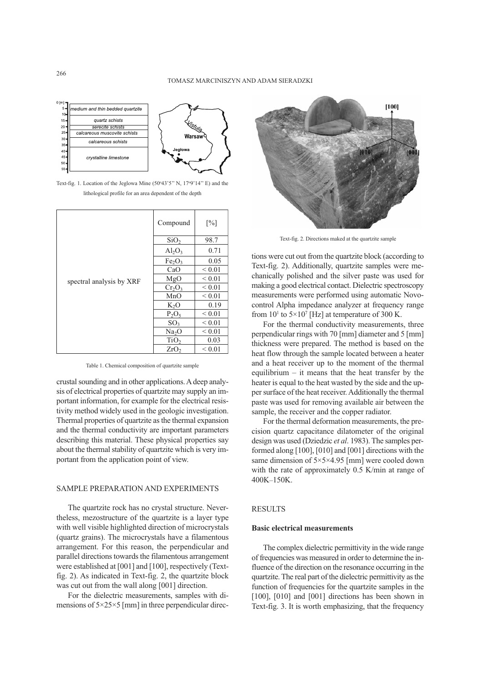

Text-fig. 1. Location of the Jeglowa Mine  $(50°43'5" N, 17°9'14" E)$  and the lithological profile for an area dependent of the depth

| spectral analysis by XRF | Compound                       | $\lceil\% \rceil$ |
|--------------------------|--------------------------------|-------------------|
|                          | SiO <sub>2</sub>               | 98.7              |
|                          | $Al_2O_3$                      | 0.71              |
|                          | Fe <sub>2</sub> O <sub>3</sub> | 0.05              |
|                          | CaO                            | ${}< 0.01$        |
|                          | MgO                            | ${}< 0.01$        |
|                          | $Cr_2O_3$                      | ${}< 0.01$        |
|                          | MnO                            | ${}_{0.01}$       |
|                          | $K_2O$                         | 0.19              |
|                          | $P_2O_5$                       | ${}< 0.01$        |
|                          | SO <sub>3</sub>                | ${}< 0.01$        |
|                          | Na <sub>2</sub> O              | ${}< 0.01$        |
|                          | TiO <sub>2</sub>               | 0.03              |
|                          | ZrO <sub>2</sub>               | ${}< 0.01$        |

Table 1. Chemical composition of quartzite sample

crustal sounding and in other applications. A deep analysis of electrical properties of quartzite may supply an important information, for example for the electrical resistivity method widely used in the geologic investigation. Thermal properties of quartzite as the thermal expansion and the thermal conductivity are important parameters describing this material. These physical properties say about the thermal stability of quartzite which is very important from the application point of view.

#### SAMPLE PREPARATION AND EXPERIMENTS

The quartzite rock has no crystal structure. Nevertheless, mezostructure of the quartzite is a layer type with well visible highlighted direction of microcrystals (quartz grains). The microcrystals have a filamentous arrangement. For this reason, the perpendicular and parallel directions towards the filamentous arrangement were established at [001] and [100], respectively (Textfig. 2). As indicated in Text-fig. 2, the quartzite block was cut out from the wall along [001] direction.

For the dielectric measurements, samples with dimensions of  $5\times25\times5$  [mm] in three perpendicular direc-



Text-fig. 2. Directions maked at the quartzite sample

tions were cut out from the quartzite block (according to Text-fig. 2). Additionally, quartzite samples were mechanically polished and the silver paste was used for making a good electrical contact. Dielectric spectroscopy measurements were performed using automatic Novocontrol Alpha impedance analyzer at frequency range from  $10^1$  to  $5 \times 10^7$  [Hz] at temperature of 300 K.

For the thermal conductivity measurements, three perpendicular rings with 70 [mm] diameter and 5 [mm] thickness were prepared. The method is based on the heat flow through the sample located between a heater and a heat receiver up to the moment of the thermal equilibrium  $-$  it means that the heat transfer by the heater is equal to the heat wasted by the side and the upper surface of the heat receiver. Additionally the thermal paste was used for removing available air between the sample, the receiver and the copper radiator.

For the thermal deformation measurements, the precision quartz capacitance dilatometer of the original design was used (Dziedzic *et al*. 1983). The samples performed along [100], [010] and [001] directions with the same dimension of  $5 \times 5 \times 4.95$  [mm] were cooled down with the rate of approximately 0.5 K/min at range of 400K–150K.

## **RESULTS**

# **Basic electrical measurements**

The complex dielectric permittivity in the wide range of frequencies was measured in order to determine the influence of the direction on the resonance occurring in the quartzite. The real part of the dielectric permittivity as the function of frequencies for the quartzite samples in the [100], [010] and [001] directions has been shown in Text-fig. 3. It is worth emphasizing, that the frequency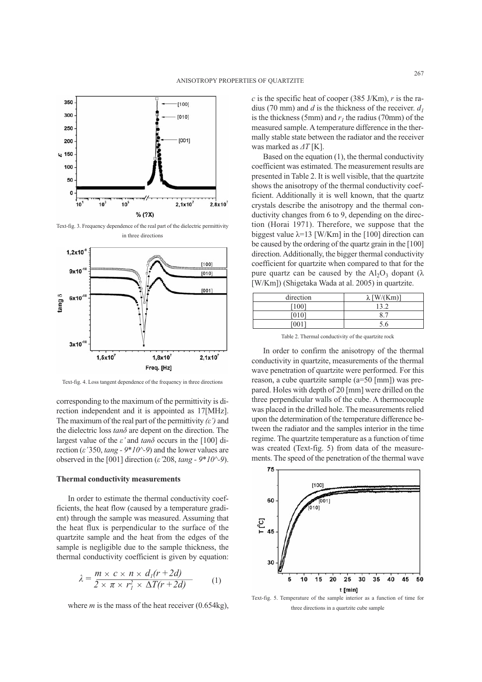

Text-fig. 3. Frequency dependence of the real part of the dielectric permittivity in three directions



Text-fig. 4. Loss tangent dependence of the frequency in three directions

corresponding to the maximum of the permittivity is direction independent and it is appointed as 17[MHz]. The maximum of the real part of the permittivity *(ε')* and the dielectric loss *tanδ* are depent on the direction. The largest value of the *ε'* and *tanδ* occurs in the [100] direction (*ε'* 350, *tang - 9\*10^-9*) and the lower values are observed in the [001] direction (*ε'*208, *tang - 9\*10^-9*).

#### **Thermal conductivity measurements**

In order to estimate the thermal conductivity coefficients, the heat flow (caused by a temperature gradient) through the sample was measured. Assuming that the heat flux is perpendicular to the surface of the quartzite sample and the heat from the edges of the sample is negligible due to the sample thickness, the thermal conductivity coefficient is given by equation:

$$
\lambda = \frac{m \times c \times n \times d_1(r+2d)}{2 \times \pi \times r_1^2 \times \Delta T(r+2d)} \tag{1}
$$

where  $m$  is the mass of the heat receiver  $(0.654\text{kg})$ ,

*c* is the specific heat of cooper (385 J/Km), *r* is the radius (70 mm) and *d* is the thickness of the receiver.  $d_1$ is the thickness (5mm) and  $r<sub>i</sub>$  the radius (70mm) of the measured sample. A temperature difference in the thermally stable state between the radiator and the receiver was marked as *ΔT* [K].

Based on the equation (1), the thermal conductivity coefficient was estimated. The measurement results are presented in Table 2. It is well visible, that the quartzite shows the anisotropy of the thermal conductivity coefficient. Additionally it is well known, that the quartz crystals describe the anisotropy and the thermal conductivity changes from 6 to 9, depending on the direction (Horai 1971). Therefore, we suppose that the biggest value  $\lambda$ =13 [W/Km] in the [100] direction can be caused by the ordering of the quartz grain in the [100] direction. Additionally, the bigger thermal conductivity coefficient for quartzite when compared to that for the pure quartz can be caused by the  $Al_2O_3$  dopant ( $\lambda$ ) [W/Km]) (Shigetaka Wada at al. 2005) in quartzite.

| direction | $\lceil W/(Km) \rceil$ |  |
|-----------|------------------------|--|
| [100]     | 13.2                   |  |
| [010]     | 8.                     |  |
|           | 5.6                    |  |

Table 2. Thermal conductivity of the quartzite rock

In order to confirm the anisotropy of the thermal conductivity in quartzite, measurements of the thermal wave penetration of quartzite were performed. For this reason, a cube quartzite sample (a=50 [mm]) was prepared. Holes with depth of 20 [mm] were drilled on the three perpendicular walls of the cube. A thermocouple was placed in the drilled hole. The measurements relied upon the determination of the temperature difference between the radiator and the samples interior in the time regime. The quartzite temperature as a function of time was created (Text-fig. 5) from data of the measurements. The speed of the penetration of the thermal wave



Text-fig. 5. Temperature of the sample interior as a function of time for three directions in a quartzite cube sample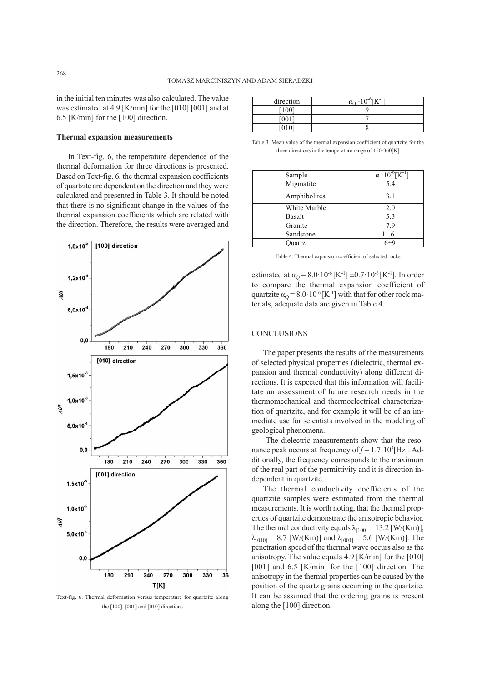in the initial ten minutes was also calculated. The value was estimated at 4.9 [K/min] for the [010] [001] and at 6.5 [K/min] for the [100] direction.

## **Thermal expansion measurements**

In Text-fig. 6, the temperature dependence of the thermal deformation for three directions is presented. Based on Text-fig. 6, the thermal expansion coefficients of quartzite are dependent on the direction and they were calculated and presented in Table 3. It should be noted that there is no significant change in the values of the thermal expansion coefficients which are related with the direction. Therefore, the results were averaged and



Text-fig. 6. Thermal deformation versus temperature for quartzite along the [100], [001] and [010] directions

| direction | $10^{-6}$ FTZ $-1$<br>$\alpha$<br>∸ |
|-----------|-------------------------------------|
| [100]     |                                     |
| [001]     |                                     |
|           |                                     |

Table 3. Mean value of the thermal expansion coefficient of quartzite for the three directions in the temperature range of 150-360[K]

| Sample        | $\alpha$ · 10 <sup>-6</sup> [K <sup>-1</sup> |
|---------------|----------------------------------------------|
| Migmatite     | 5.4                                          |
| Amphibolites  | 3.1                                          |
| White Marble  | 2.0                                          |
| Basalt        | 5.3                                          |
| Granite       | 7.9                                          |
| Sandstone     | 11.6                                         |
| <b>Duartz</b> | $6 \div 9$                                   |

Table 4. Thermal expansion coefficient of selected rocks

estimated at  $\alpha_{\Omega} = 8.0 \cdot 10^{-6}$  [K<sup>-1</sup>]  $\pm 0.7 \cdot 10^{-6}$  [K<sup>-1</sup>]. In order to compare the thermal expansion coefficient of quartzite  $\alpha_{\Omega} = 8.0 \cdot 10^{-6}$  [K<sup>-1</sup>] with that for other rock materials, adequate data are given in Table 4.

## **CONCLUSIONS**

The paper presents the results of the measurements of selected physical properties (dielectric, thermal expansion and thermal conductivity) along different directions. It is expected that this information will facilitate an assessment of future research needs in the thermomechanical and thermoelectrical characterization of quartzite, and for example it will be of an immediate use for scientists involved in the modeling of geological phenomena.

The dielectric measurements show that the resonance peak occurs at frequency of  $f = 1.7 \cdot 10^{7}$  [Hz]. Additionally, the frequency corresponds to the maximum of the real part of the permittivity and it is direction independent in quartzite.

The thermal conductivity coefficients of the quartzite samples were estimated from the thermal measurements. It is worth noting, that the thermal properties of quartzite demonstrate the anisotropic behavior. The thermal conductivity equals  $\lambda_{[100]} = 13.2$  [W/(Km)],  $\lambda_{[010]} = 8.7$  [W/(Km)] and  $\lambda_{[001]} = 5.6$  [W/(Km)]. The penetration speed of the thermal wave occurs also as the anisotropy. The value equals 4.9 [K/min] for the [010] [001] and 6.5 [K/min] for the [100] direction. The anisotropy in the thermal properties can be caused by the position of the quartz grains occurring in the quartzite. It can be assumed that the ordering grains is present along the [100] direction.